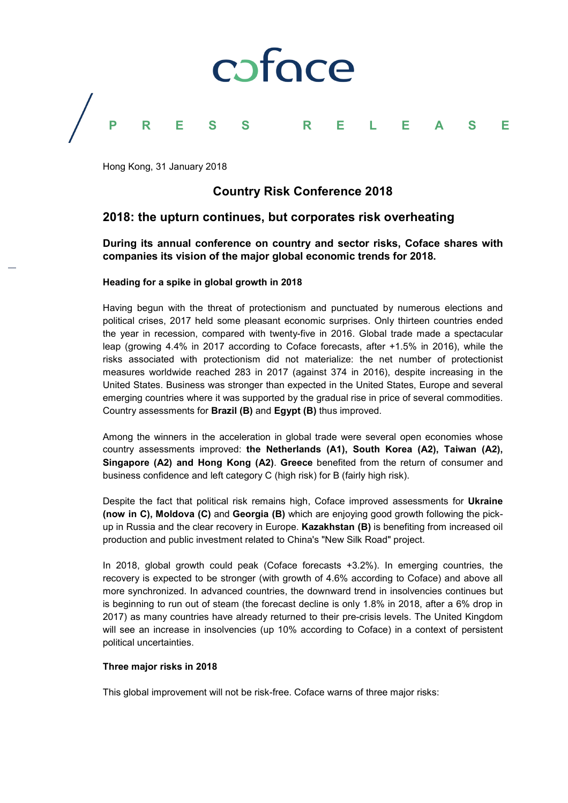

Hong Kong, 31 January 2018

# **Country Risk Conference 2018**

## **2018: the upturn continues, but corporates risk overheating**

**During its annual conference on country and sector risks, Coface shares with companies its vision of the major global economic trends for 2018.**

### **Heading for a spike in global growth in 2018**

Having begun with the threat of protectionism and punctuated by numerous elections and political crises, 2017 held some pleasant economic surprises. Only thirteen countries ended the year in recession, compared with twenty-five in 2016. Global trade made a spectacular leap (growing 4.4% in 2017 according to Coface forecasts, after +1.5% in 2016), while the risks associated with protectionism did not materialize: the net number of protectionist measures worldwide reached 283 in 2017 (against 374 in 2016), despite increasing in the United States. Business was stronger than expected in the United States, Europe and several emerging countries where it was supported by the gradual rise in price of several commodities. Country assessments for **Brazil (B)** and **Egypt (B)** thus improved.

Among the winners in the acceleration in global trade were several open economies whose country assessments improved: **the Netherlands (A1), South Korea (A2), Taiwan (A2), Singapore (A2) and Hong Kong (A2)**. **Greece** benefited from the return of consumer and business confidence and left category C (high risk) for B (fairly high risk).

Despite the fact that political risk remains high, Coface improved assessments for **Ukraine (now in C), Moldova (C)** and **Georgia (B)** which are enjoying good growth following the pickup in Russia and the clear recovery in Europe. **Kazakhstan (B)** is benefiting from increased oil production and public investment related to China's "New Silk Road" project.

In 2018, global growth could peak (Coface forecasts +3.2%). In emerging countries, the recovery is expected to be stronger (with growth of 4.6% according to Coface) and above all more synchronized. In advanced countries, the downward trend in insolvencies continues but is beginning to run out of steam (the forecast decline is only 1.8% in 2018, after a 6% drop in 2017) as many countries have already returned to their pre-crisis levels. The United Kingdom will see an increase in insolvencies (up 10% according to Coface) in a context of persistent political uncertainties.

#### **Three major risks in 2018**

This global improvement will not be risk-free. Coface warns of three major risks: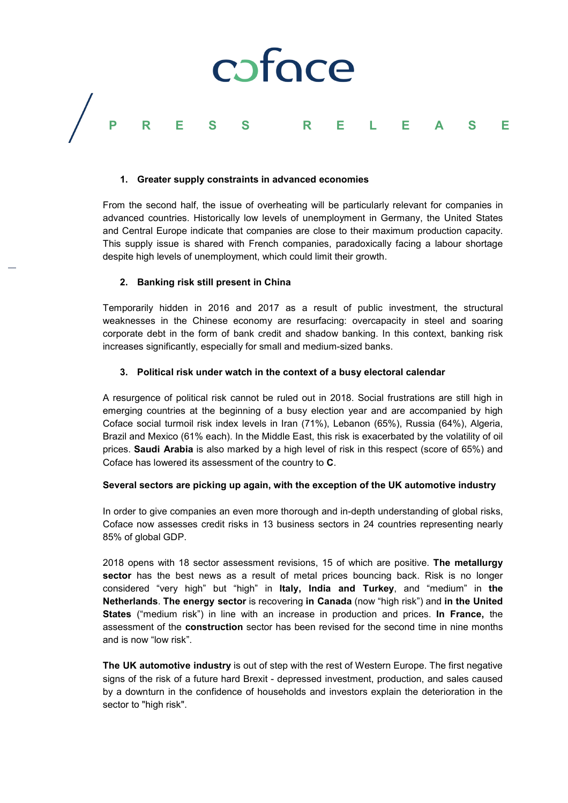

#### **1. Greater supply constraints in advanced economies**

From the second half, the issue of overheating will be particularly relevant for companies in advanced countries. Historically low levels of unemployment in Germany, the United States and Central Europe indicate that companies are close to their maximum production capacity. This supply issue is shared with French companies, paradoxically facing a labour shortage despite high levels of unemployment, which could limit their growth.

### **2. Banking risk still present in China**

Temporarily hidden in 2016 and 2017 as a result of public investment, the structural weaknesses in the Chinese economy are resurfacing: overcapacity in steel and soaring corporate debt in the form of bank credit and shadow banking. In this context, banking risk increases significantly, especially for small and medium-sized banks.

### **3. Political risk under watch in the context of a busy electoral calendar**

A resurgence of political risk cannot be ruled out in 2018. Social frustrations are still high in emerging countries at the beginning of a busy election year and are accompanied by high Coface social turmoil risk index levels in Iran (71%), Lebanon (65%), Russia (64%), Algeria, Brazil and Mexico (61% each). In the Middle East, this risk is exacerbated by the volatility of oil prices. **Saudi Arabia** is also marked by a high level of risk in this respect (score of 65%) and Coface has lowered its assessment of the country to **C**.

## **Several sectors are picking up again, with the exception of the UK automotive industry**

In order to give companies an even more thorough and in-depth understanding of global risks, Coface now assesses credit risks in 13 business sectors in 24 countries representing nearly 85% of global GDP.

2018 opens with 18 sector assessment revisions, 15 of which are positive. **The metallurgy sector** has the best news as a result of metal prices bouncing back. Risk is no longer considered "very high" but "high" in **Italy, India and Turkey**, and "medium" in **the Netherlands**. **The energy sector** is recovering **in Canada** (now "high risk") and **in the United States** ("medium risk") in line with an increase in production and prices. **In France,** the assessment of the **construction** sector has been revised for the second time in nine months and is now "low risk".

**The UK automotive industry** is out of step with the rest of Western Europe. The first negative signs of the risk of a future hard Brexit - depressed investment, production, and sales caused by a downturn in the confidence of households and investors explain the deterioration in the sector to "high risk".